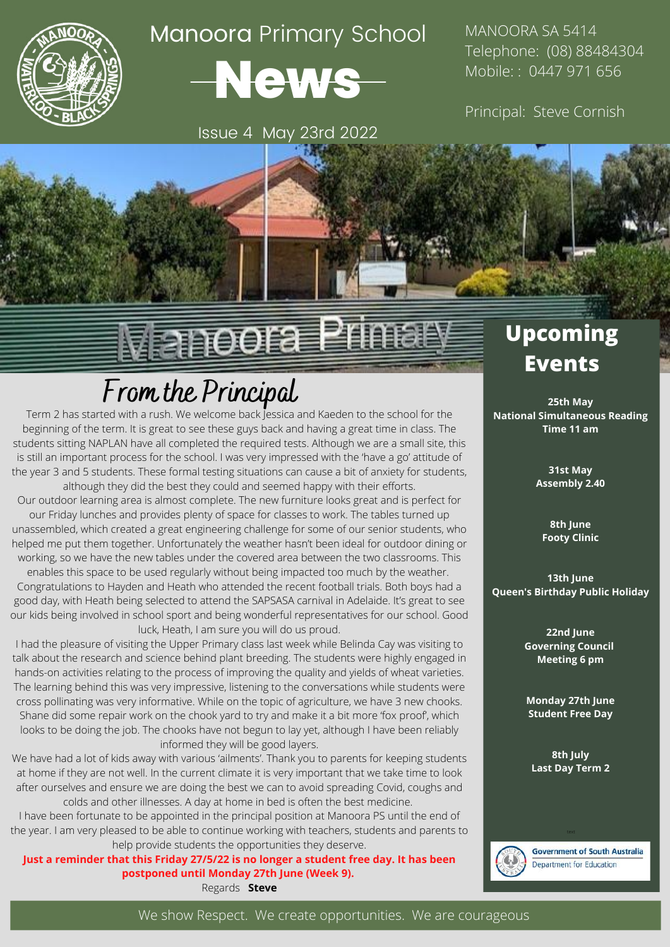

## Manoora Primary School



Issue 4 May 23rd 2022

MANOORA SA 5414 Telephone: (08) 88484304 Mobile: : 0447 971 656

Principal: Steve Cornish

## Manoora Primary

## **From the Principal**

Term 2 has started with a rush. We welcome back Jessica and Kaeden to the school for the beginning of the term. It is great to see these guys back and having a great time in class. The students sitting NAPLAN have all completed the required tests. Although we are a small site, this is still an important process for the school. I was very impressed with the 'have a go' attitude of the year 3 and 5 students. These formal testing situations can cause a bit of anxiety for students, although they did the best they could and seemed happy with their efforts.

Our outdoor learning area is almost complete. The new furniture looks great and is perfect for our Friday lunches and provides plenty of space for classes to work. The tables turned up unassembled, which created a great engineering challenge for some of our senior students, who helped me put them together. Unfortunately the weather hasn't been ideal for outdoor dining or working, so we have the new tables under the covered area between the two classrooms. This

enables this space to be used regularly without being impacted too much by the weather. Congratulations to Hayden and Heath who attended the recent football trials. Both boys had a good day, with Heath being selected to attend the SAPSASA carnival in Adelaide. It's great to see our kids being involved in school sport and being wonderful representatives for our school. Good luck, Heath, I am sure you will do us proud.

I had the pleasure of visiting the Upper Primary class last week while Belinda Cay was visiting to talk about the research and science behind plant breeding. The students were highly engaged in hands-on activities relating to the process of improving the quality and yields of wheat varieties. The learning behind this was very impressive, listening to the conversations while students were cross pollinating was very informative. While on the topic of agriculture, we have 3 new chooks. Shane did some repair work on the chook yard to try and make it a bit more 'fox proof', which looks to be doing the job. The chooks have not begun to lay yet, although I have been reliably informed they will be good layers.

We have had a lot of kids away with various 'ailments'. Thank you to parents for keeping students at home if they are not well. In the current climate it is very important that we take time to look after ourselves and ensure we are doing the best we can to avoid spreading Covid, coughs and colds and other illnesses. A day at home in bed is often the best medicine.

I have been fortunate to be appointed in the principal position at Manoora PS until the end of the year. I am very pleased to be able to continue working with teachers, students and parents to help provide students the opportunities they deserve.

**Just a reminder that this Friday 27/5/22 is no longer a student free day. It has been postponed until Monday 27th June (Week 9).**

Regards **Steve**

### **Upcoming Events**

**25th May National Simultaneous Reading Time 11 am**

> **31st May Assembly 2.40**

**8th June Footy Clinic**

**13th June Queen's Birthday Public Holiday**

> **22nd June Governing Council Meeting 6 pm**

**Monday 27th June Student Free Day**

**8th July Last Day Term 2**



**Government of South Australia Department for Education**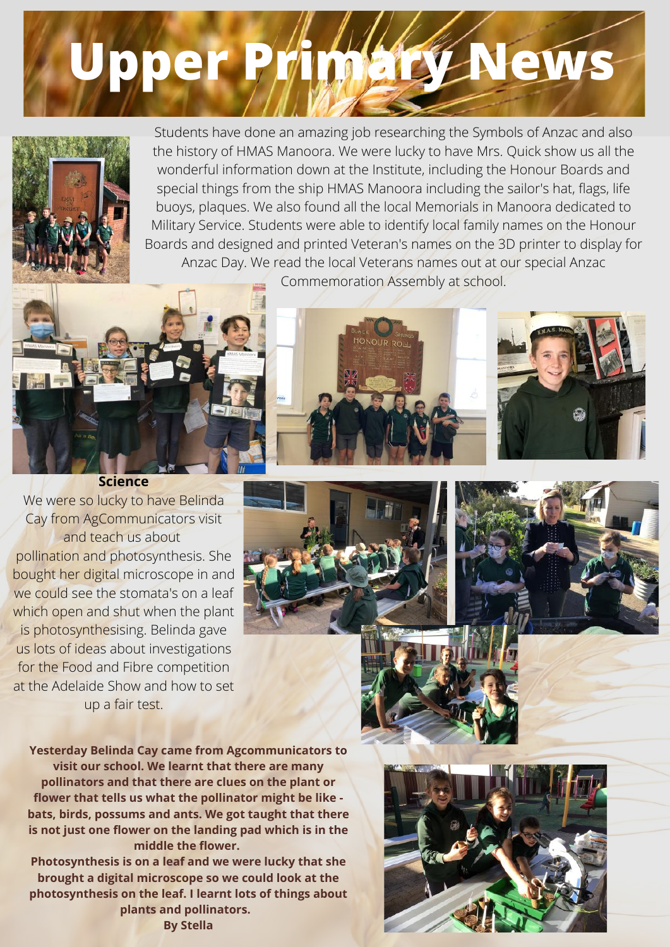# **Upper Primary News**



Students have done an amazing job researching the Symbols of Anzac and also the history of HMAS Manoora. We were lucky to have Mrs. Quick show us all the wonderful information down at the Institute, including the Honour Boards and special things from the ship HMAS Manoora including the sailor's hat, flags, life buoys, plaques. We also found all the local Memorials in Manoora dedicated to Military Service. Students were able to identify local family names on the Honour Boards and designed and printed Veteran's names on the 3D printer to display for Anzac Day. We read the local Veterans names out at our special Anzac

Commemoration Assembly at school.







We were so lucky to have Belinda Cay from AgCommunicators visit and teach us about pollination and photosynthesis. She bought her digital microscope in and we could see the stomata's on a leaf which open and shut when the plant is photosynthesising. Belinda gave us lots of ideas about investigations for the Food and Fibre competition at the Adelaide Show and how to set up a fair test.





**Yesterday Belinda Cay came from Agcommunicators to visit our school. We learnt that there are many pollinators and that there are clues on the plant or flower that tells us what the pollinator might be like bats, birds, possums and ants. We got taught that there is not just one flower on the landing pad which is in the middle the flower.**

**Photosynthesis is on a leaf and we were lucky that she brought a digital microscope so we could look at the photosynthesis on the leaf. I learnt lots of things about plants and pollinators.** 



**By Stella**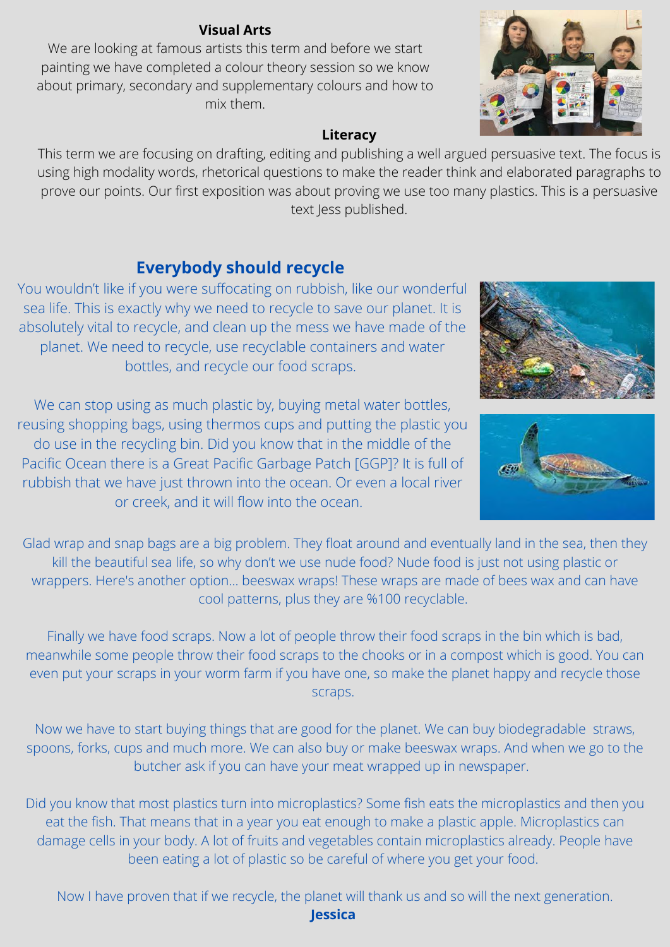#### **Visual Arts**

We are looking at famous artists this term and before we start painting we have completed a colour theory session so we know about primary, secondary and supplementary colours and how to mix them.

#### **Literacy**

This term we are focusing on drafting, editing and publishing a well argued persuasive text. The focus is using high modality words, rhetorical questions to make the reader think and elaborated paragraphs to prove our points. Our first exposition was about proving we use too many plastics. This is a persuasive text Jess published.

#### **Everybody should recycle**

You wouldn't like if you were suffocating on rubbish, like our wonderful sea life. This is exactly why we need to recycle to save our planet. It is absolutely vital to recycle, and clean up the mess we have made of the planet. We need to recycle, use recyclable containers and water bottles, and recycle our food scraps.

We can stop using as much plastic by, buying metal water bottles, reusing shopping bags, using thermos cups and putting the plastic you do use in the recycling bin. Did you know that in the middle of the Pacific Ocean there is a Great Pacific Garbage Patch [GGP]? It is full of rubbish that we have just thrown into the ocean. Or even a local river or creek, and it will flow into the ocean.

Glad wrap and snap bags are a big problem. They float around and eventually land in the sea, then they kill the beautiful sea life, so why don't we use nude food? Nude food is just not using plastic or wrappers. Here's another option... beeswax wraps! These wraps are made of bees wax and can have cool patterns, plus they are %100 recyclable.

Finally we have food scraps. Now a lot of people throw their food scraps in the bin which is bad, meanwhile some people throw their food scraps to the chooks or in a compost which is good. You can even put your scraps in your worm farm if you have one, so make the planet happy and recycle those scraps.

Now we have to start buying things that are good for the planet. We can buy biodegradable straws, spoons, forks, cups and much more. We can also buy or make beeswax wraps. And when we go to the butcher ask if you can have your meat wrapped up in newspaper.

Did you know that most plastics turn into microplastics? Some fish eats the microplastics and then you eat the fish. That means that in a year you eat enough to make a plastic apple. Microplastics can damage cells in your body. A lot of fruits and vegetables contain microplastics already. People have been eating a lot of plastic so be careful of where you get your food.

Now I have proven that if we recycle, the planet will thank us and so will the next generation. **Jessica**





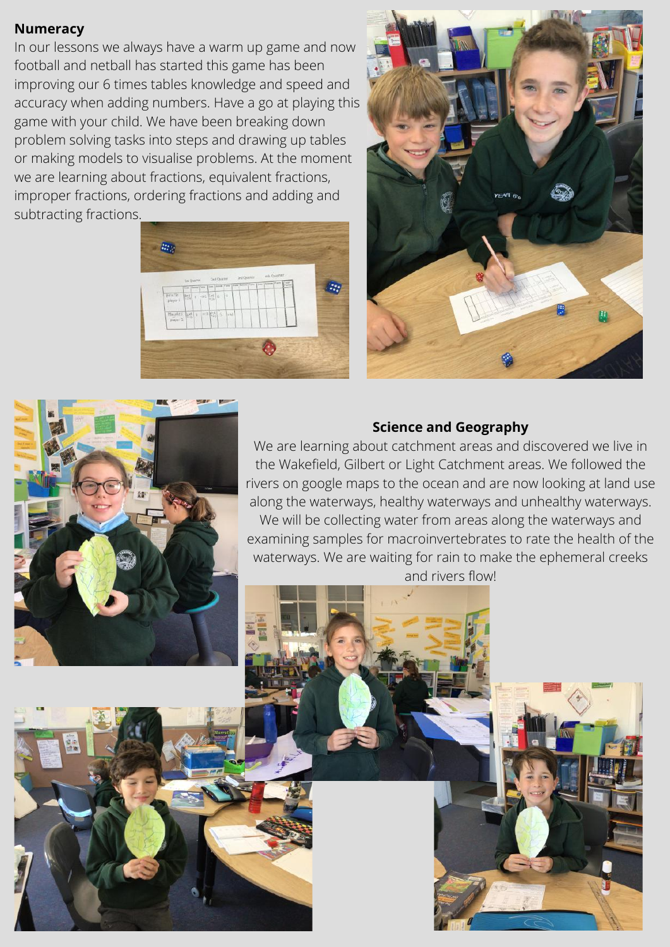#### **Numeracy**

In our lessons we always have a warm up game and now football and netball has started this game has been improving our 6 times tables knowledge and speed and accuracy when adding numbers. Have a go at playing this game with your child. We have been breaking down problem solving tasks into steps and drawing up tables or making models to visualise problems. At the moment we are learning about fractions, equivalent fractions, improper fractions, ordering fractions and adding and subtracting fractions.





#### **Science and Geography**

We are learning about catchment areas and discovered we live in the Wakefield, Gilbert or Light Catchment areas. We followed the rivers on google maps to the ocean and are now looking at land use along the waterways, healthy waterways and unhealthy waterways.

We will be collecting water from areas along the waterways and examining samples for macroinvertebrates to rate the health of the waterways. We are waiting for rain to make the ephemeral creeks and rivers flow!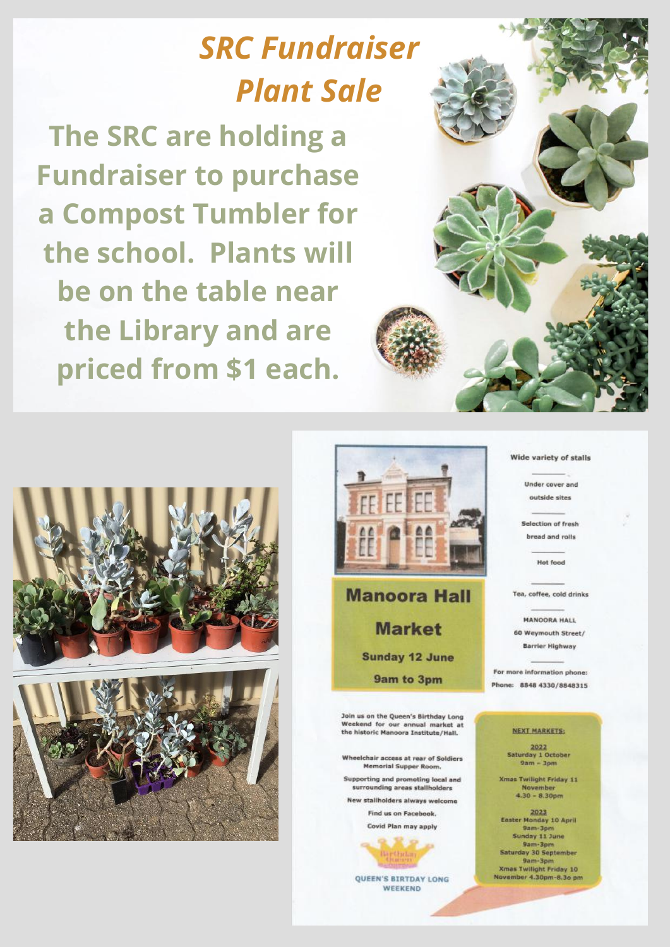## **SRC Fundraiser Plant Sale**

The SRC are holding a **Fundraiser to purchase** a Compost Tumbler for the school. Plants will be on the table near the Library and are priced from \$1 each.







**Manoora Hall Market Sunday 12 June** 9am to 3pm

Join us on the Queen's Birthday Long Weekend for our annual market at<br>the historic Manoora Institute/Hall.

Wheelchair access at rear of Soldiers Memorial Supper Room.

Supporting and promoting local and

surrounding areas stallholders New stallholders always welcome

> **Find us on Facebook** Covid Plan may apply

**QUEEN'S BIRTDAY LONG** WEEKEND

#### Wide variety of stalls

**Under cover and** outside sites

Selection of fresh bread and rolls

Hot food

Tea, coffee, cold drinks

**MANOORA HALL** 60 Weymouth Street/ **Barrier Highway** 

For more information phone: Phone: 8848 4330/8848315

#### NEXT MARKETS:

 $\begin{array}{r}\n 2022 \\
 \text{Saturday 1 October} \\
\text{9am - 3pm}\n \end{array}$ 

**Xmas Twilight Friday 11** November<br>4.30 - 8.30pm

2023<br>Easter Monday 10 April 9am-3pm Sunday 11 June 9am-3pm<br>Saturday 30 September 9am-3pm **Xmas Twilight Friday 10** November 4.30pm-8.3o pm